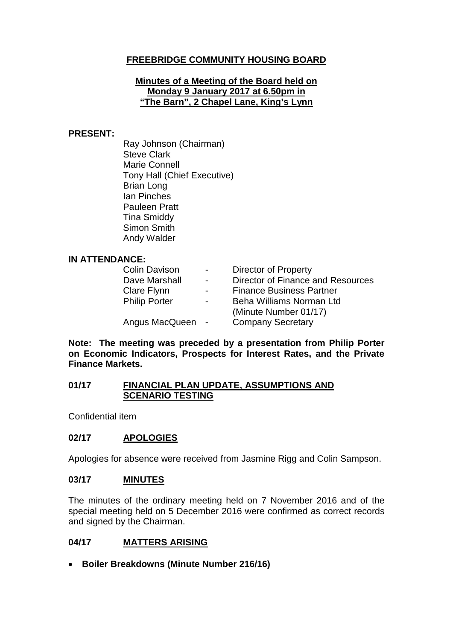# **FREEBRIDGE COMMUNITY HOUSING BOARD**

#### **Minutes of a Meeting of the Board held on Monday 9 January 2017 at 6.50pm in "The Barn", 2 Chapel Lane, King's Lynn**

#### **PRESENT:**

Ray Johnson (Chairman) Steve Clark Marie Connell Tony Hall (Chief Executive) Brian Long Ian Pinches Pauleen Pratt Tina Smiddy Simon Smith Andy Walder

#### **IN ATTENDANCE:**

| <b>Colin Davison</b> | $\sim$ 100 $\sim$        | <b>Director of Property</b>       |
|----------------------|--------------------------|-----------------------------------|
| Dave Marshall        | $\overline{\phantom{0}}$ | Director of Finance and Resources |
| Clare Flynn          | $\overline{\phantom{0}}$ | <b>Finance Business Partner</b>   |
| <b>Philip Porter</b> | $\overline{\phantom{0}}$ | Beha Williams Norman Ltd          |
|                      |                          | (Minute Number 01/17)             |
| Angus MacQueen -     |                          | <b>Company Secretary</b>          |

**Note: The meeting was preceded by a presentation from Philip Porter on Economic Indicators, Prospects for Interest Rates, and the Private Finance Markets.**

### **01/17 FINANCIAL PLAN UPDATE, ASSUMPTIONS AND SCENARIO TESTING**

Confidential item

## **02/17 APOLOGIES**

Apologies for absence were received from Jasmine Rigg and Colin Sampson.

#### **03/17 MINUTES**

The minutes of the ordinary meeting held on 7 November 2016 and of the special meeting held on 5 December 2016 were confirmed as correct records and signed by the Chairman.

### **04/17 MATTERS ARISING**

• **Boiler Breakdowns (Minute Number 216/16)**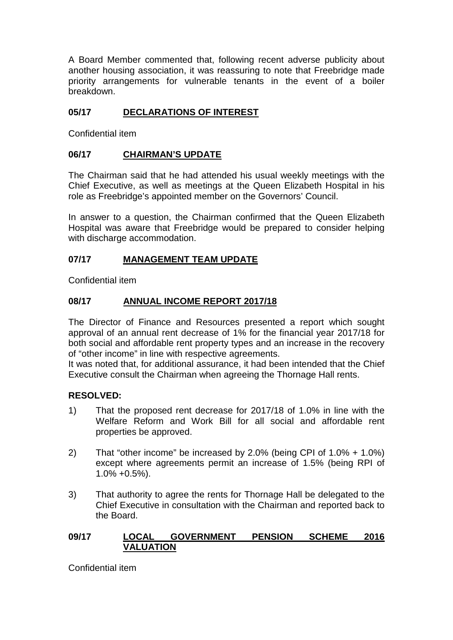A Board Member commented that, following recent adverse publicity about another housing association, it was reassuring to note that Freebridge made priority arrangements for vulnerable tenants in the event of a boiler breakdown.

# **05/17 DECLARATIONS OF INTEREST**

Confidential item

## **06/17 CHAIRMAN'S UPDATE**

The Chairman said that he had attended his usual weekly meetings with the Chief Executive, as well as meetings at the Queen Elizabeth Hospital in his role as Freebridge's appointed member on the Governors' Council.

In answer to a question, the Chairman confirmed that the Queen Elizabeth Hospital was aware that Freebridge would be prepared to consider helping with discharge accommodation.

### **07/17 MANAGEMENT TEAM UPDATE**

Confidential item

### **08/17 ANNUAL INCOME REPORT 2017/18**

The Director of Finance and Resources presented a report which sought approval of an annual rent decrease of 1% for the financial year 2017/18 for both social and affordable rent property types and an increase in the recovery of "other income" in line with respective agreements.

It was noted that, for additional assurance, it had been intended that the Chief Executive consult the Chairman when agreeing the Thornage Hall rents.

### **RESOLVED:**

- 1) That the proposed rent decrease for 2017/18 of 1.0% in line with the Welfare Reform and Work Bill for all social and affordable rent properties be approved.
- 2) That "other income" be increased by 2.0% (being CPI of 1.0% + 1.0%) except where agreements permit an increase of 1.5% (being RPI of 1.0% +0.5%).
- 3) That authority to agree the rents for Thornage Hall be delegated to the Chief Executive in consultation with the Chairman and reported back to the Board.

### **09/17 LOCAL GOVERNMENT PENSION SCHEME 2016 VALUATION**

Confidential item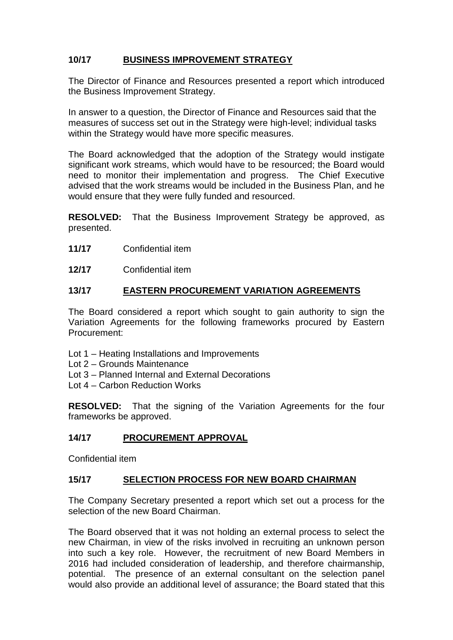# **10/17 BUSINESS IMPROVEMENT STRATEGY**

The Director of Finance and Resources presented a report which introduced the Business Improvement Strategy.

In answer to a question, the Director of Finance and Resources said that the measures of success set out in the Strategy were high-level; individual tasks within the Strategy would have more specific measures.

The Board acknowledged that the adoption of the Strategy would instigate significant work streams, which would have to be resourced; the Board would need to monitor their implementation and progress. The Chief Executive advised that the work streams would be included in the Business Plan, and he would ensure that they were fully funded and resourced.

**RESOLVED:** That the Business Improvement Strategy be approved, as presented.

- **11/17** Confidential item
- **12/17** Confidential item

### **13/17 EASTERN PROCUREMENT VARIATION AGREEMENTS**

The Board considered a report which sought to gain authority to sign the Variation Agreements for the following frameworks procured by Eastern Procurement:

- Lot 1 Heating Installations and Improvements
- Lot 2 Grounds Maintenance
- Lot 3 Planned Internal and External Decorations
- Lot 4 Carbon Reduction Works

**RESOLVED:** That the signing of the Variation Agreements for the four frameworks be approved.

### **14/17 PROCUREMENT APPROVAL**

Confidential item

### **15/17 SELECTION PROCESS FOR NEW BOARD CHAIRMAN**

The Company Secretary presented a report which set out a process for the selection of the new Board Chairman.

The Board observed that it was not holding an external process to select the new Chairman, in view of the risks involved in recruiting an unknown person into such a key role. However, the recruitment of new Board Members in 2016 had included consideration of leadership, and therefore chairmanship, potential. The presence of an external consultant on the selection panel would also provide an additional level of assurance; the Board stated that this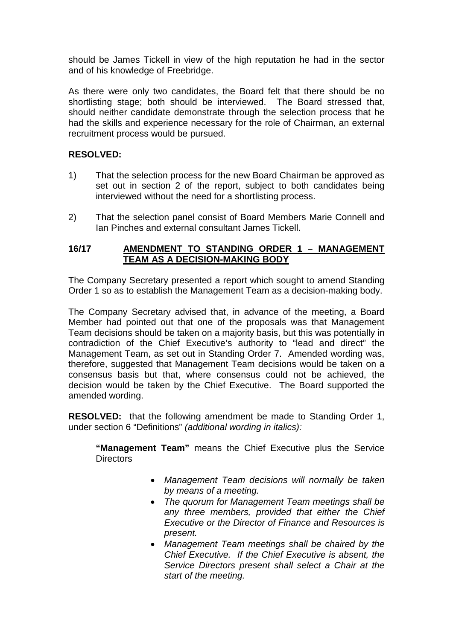should be James Tickell in view of the high reputation he had in the sector and of his knowledge of Freebridge.

As there were only two candidates, the Board felt that there should be no shortlisting stage; both should be interviewed. The Board stressed that, should neither candidate demonstrate through the selection process that he had the skills and experience necessary for the role of Chairman, an external recruitment process would be pursued.

# **RESOLVED:**

- 1) That the selection process for the new Board Chairman be approved as set out in section 2 of the report, subject to both candidates being interviewed without the need for a shortlisting process.
- 2) That the selection panel consist of Board Members Marie Connell and Ian Pinches and external consultant James Tickell.

### **16/17 AMENDMENT TO STANDING ORDER 1 – MANAGEMENT TEAM AS A DECISION-MAKING BODY**

The Company Secretary presented a report which sought to amend Standing Order 1 so as to establish the Management Team as a decision-making body.

The Company Secretary advised that, in advance of the meeting, a Board Member had pointed out that one of the proposals was that Management Team decisions should be taken on a majority basis, but this was potentially in contradiction of the Chief Executive's authority to "lead and direct" the Management Team, as set out in Standing Order 7. Amended wording was, therefore, suggested that Management Team decisions would be taken on a consensus basis but that, where consensus could not be achieved, the decision would be taken by the Chief Executive. The Board supported the amended wording.

**RESOLVED:** that the following amendment be made to Standing Order 1, under section 6 "Definitions" *(additional wording in italics):*

**"Management Team"** means the Chief Executive plus the Service **Directors** 

- *Management Team decisions will normally be taken by means of a meeting.*
- *The quorum for Management Team meetings shall be any three members, provided that either the Chief Executive or the Director of Finance and Resources is present.*
- *Management Team meetings shall be chaired by the Chief Executive. If the Chief Executive is absent, the Service Directors present shall select a Chair at the start of the meeting.*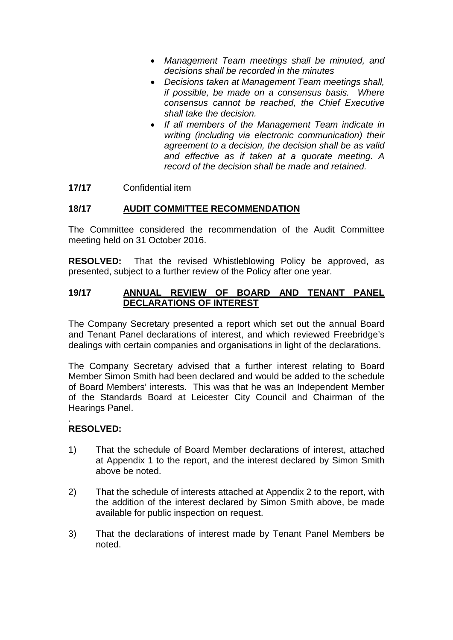- *Management Team meetings shall be minuted, and decisions shall be recorded in the minutes*
- *Decisions taken at Management Team meetings shall, if possible, be made on a consensus basis. Where consensus cannot be reached, the Chief Executive shall take the decision.*
- *If all members of the Management Team indicate in writing (including via electronic communication) their agreement to a decision, the decision shall be as valid and effective as if taken at a quorate meeting. A record of the decision shall be made and retained.*
- **17/17** Confidential item

### **18/17 AUDIT COMMITTEE RECOMMENDATION**

The Committee considered the recommendation of the Audit Committee meeting held on 31 October 2016.

**RESOLVED:** That the revised Whistleblowing Policy be approved, as presented, subject to a further review of the Policy after one year.

#### **19/17 ANNUAL REVIEW OF BOARD AND TENANT PANEL DECLARATIONS OF INTEREST**

The Company Secretary presented a report which set out the annual Board and Tenant Panel declarations of interest, and which reviewed Freebridge's dealings with certain companies and organisations in light of the declarations.

The Company Secretary advised that a further interest relating to Board Member Simon Smith had been declared and would be added to the schedule of Board Members' interests. This was that he was an Independent Member of the Standards Board at Leicester City Council and Chairman of the Hearings Panel.

#### . **RESOLVED:**

- 1) That the schedule of Board Member declarations of interest, attached at Appendix 1 to the report, and the interest declared by Simon Smith above be noted.
- 2) That the schedule of interests attached at Appendix 2 to the report, with the addition of the interest declared by Simon Smith above, be made available for public inspection on request.
- 3) That the declarations of interest made by Tenant Panel Members be noted.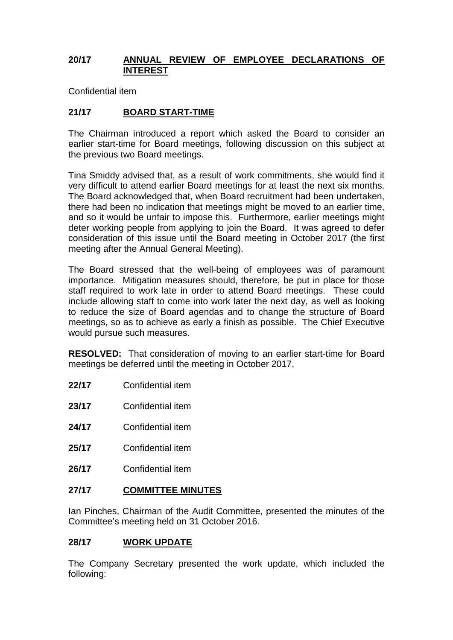### **20/17 ANNUAL REVIEW OF EMPLOYEE DECLARATIONS OF INTEREST**

Confidential item

## **21/17 BOARD START-TIME**

The Chairman introduced a report which asked the Board to consider an earlier start-time for Board meetings, following discussion on this subject at the previous two Board meetings.

Tina Smiddy advised that, as a result of work commitments, she would find it very difficult to attend earlier Board meetings for at least the next six months. The Board acknowledged that, when Board recruitment had been undertaken, there had been no indication that meetings might be moved to an earlier time, and so it would be unfair to impose this. Furthermore, earlier meetings might deter working people from applying to join the Board. It was agreed to defer consideration of this issue until the Board meeting in October 2017 (the first meeting after the Annual General Meeting).

The Board stressed that the well-being of employees was of paramount importance. Mitigation measures should, therefore, be put in place for those staff required to work late in order to attend Board meetings. These could include allowing staff to come into work later the next day, as well as looking to reduce the size of Board agendas and to change the structure of Board meetings, so as to achieve as early a finish as possible. The Chief Executive would pursue such measures.

**RESOLVED:** That consideration of moving to an earlier start-time for Board meetings be deferred until the meeting in October 2017.

- **22/17** Confidential item
- **23/17** Confidential item
- **24/17** Confidential item
- **25/17** Confidential item
- **26/17** Confidential item

### **27/17 COMMITTEE MINUTES**

Ian Pinches, Chairman of the Audit Committee, presented the minutes of the Committee's meeting held on 31 October 2016.

### **28/17 WORK UPDATE**

The Company Secretary presented the work update, which included the following: